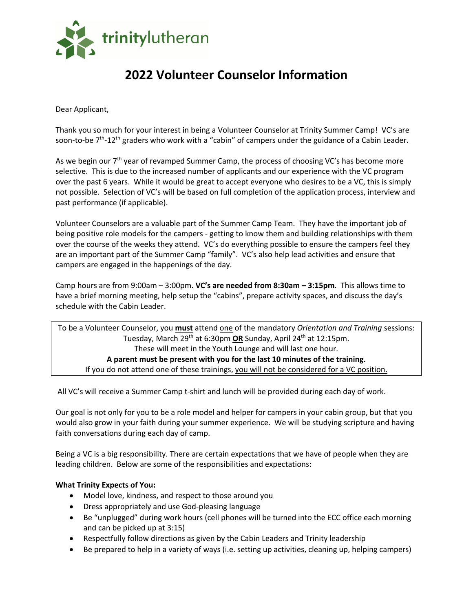

# **2022 Volunteer Counselor Information**

Dear Applicant,

Thank you so much for your interest in being a Volunteer Counselor at Trinity Summer Camp! VC's are soon-to-be 7<sup>th</sup>-12<sup>th</sup> graders who work with a "cabin" of campers under the guidance of a Cabin Leader.

As we begin our  $7<sup>th</sup>$  year of revamped Summer Camp, the process of choosing VC's has become more selective. This is due to the increased number of applicants and our experience with the VC program over the past 6 years. While it would be great to accept everyone who desires to be a VC, this is simply not possible. Selection of VC's will be based on full completion of the application process, interview and past performance (if applicable).

Volunteer Counselors are a valuable part of the Summer Camp Team. They have the important job of being positive role models for the campers - getting to know them and building relationships with them over the course of the weeks they attend. VC's do everything possible to ensure the campers feel they are an important part of the Summer Camp "family". VC's also help lead activities and ensure that campers are engaged in the happenings of the day.

Camp hours are from 9:00am – 3:00pm. **VC's are needed from 8:30am – 3:15pm**. This allows time to have a brief morning meeting, help setup the "cabins", prepare activity spaces, and discuss the day's schedule with the Cabin Leader.

To be a Volunteer Counselor, you **must** attend one of the mandatory *Orientation and Training* sessions: Tuesday, March 29<sup>th</sup> at 6:30pm OR Sunday, April 24<sup>th</sup> at 12:15pm. These will meet in the Youth Lounge and will last one hour. **A parent must be present with you for the last 10 minutes of the training.** If you do not attend one of these trainings, you will not be considered for a VC position.

All VC's will receive a Summer Camp t-shirt and lunch will be provided during each day of work.

Our goal is not only for you to be a role model and helper for campers in your cabin group, but that you would also grow in your faith during your summer experience. We will be studying scripture and having faith conversations during each day of camp.

Being a VC is a big responsibility. There are certain expectations that we have of people when they are leading children. Below are some of the responsibilities and expectations:

## **What Trinity Expects of You:**

- Model love, kindness, and respect to those around you
- Dress appropriately and use God-pleasing language
- Be "unplugged" during work hours (cell phones will be turned into the ECC office each morning and can be picked up at 3:15)
- Respectfully follow directions as given by the Cabin Leaders and Trinity leadership
- Be prepared to help in a variety of ways (i.e. setting up activities, cleaning up, helping campers)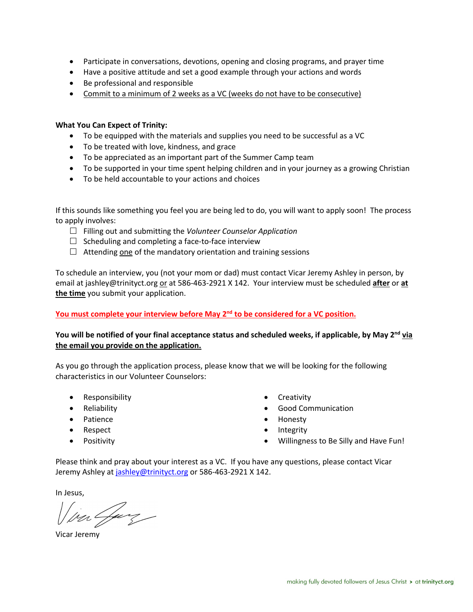- Participate in conversations, devotions, opening and closing programs, and prayer time
- Have a positive attitude and set a good example through your actions and words
- Be professional and responsible
- Commit to a minimum of 2 weeks as a VC (weeks do not have to be consecutive)

### **What You Can Expect of Trinity:**

- To be equipped with the materials and supplies you need to be successful as a VC
- To be treated with love, kindness, and grace
- To be appreciated as an important part of the Summer Camp team
- To be supported in your time spent helping children and in your journey as a growing Christian
- To be held accountable to your actions and choices

If this sounds like something you feel you are being led to do, you will want to apply soon! The process to apply involves:

- £ Filling out and submitting the *Volunteer Counselor Application*
- $\square$  Scheduling and completing a face-to-face interview
- $\Box$  Attending one of the mandatory orientation and training sessions

To schedule an interview, you (not your mom or dad) must contact Vicar Jeremy Ashley in person, by email at jashley@trinityct.org or at 586-463-2921 X 142. Your interview must be scheduled **after** or **at the time** you submit your application.

## **You must complete your interview before May 2nd to be considered for a VC position.**

## You will be notified of your final acceptance status and scheduled weeks, if applicable, by May 2<sup>nd</sup> via **the email you provide on the application.**

As you go through the application process, please know that we will be looking for the following characteristics in our Volunteer Counselors:

- Responsibility
- Reliability
- Patience
- Respect
- Positivity
- Creativity
- Good Communication
- Honesty
- Integrity
- Willingness to Be Silly and Have Fun!

Please think and pray about your interest as a VC. If you have any questions, please contact Vicar Jeremy Ashley at jashley@trinityct.org or 586-463-2921 X 142.

In Jesus,

va Gay

Vicar Jeremy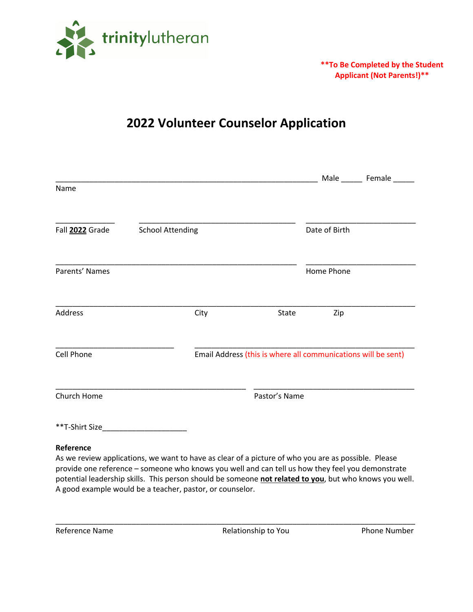

## **\*\*To Be Completed by the Student Applicant (Not Parents!)\*\***

# **2022 Volunteer Counselor Application**

|                   |                         |                                                               |               | Male _________ Female _______ |
|-------------------|-------------------------|---------------------------------------------------------------|---------------|-------------------------------|
| Name              |                         |                                                               |               |                               |
| Fall 2022 Grade   | <b>School Attending</b> |                                                               | Date of Birth |                               |
| Parents' Names    |                         |                                                               | Home Phone    |                               |
| Address           | City                    | State                                                         | Zip           |                               |
| <b>Cell Phone</b> |                         | Email Address (this is where all communications will be sent) |               |                               |
| Church Home       |                         | Pastor's Name                                                 |               |                               |
|                   |                         |                                                               |               |                               |

### **Reference**

As we review applications, we want to have as clear of a picture of who you are as possible. Please provide one reference – someone who knows you well and can tell us how they feel you demonstrate potential leadership skills. This person should be someone **not related to you**, but who knows you well. A good example would be a teacher, pastor, or counselor.

\_\_\_\_\_\_\_\_\_\_\_\_\_\_\_\_\_\_\_\_\_\_\_\_\_\_\_\_\_\_\_\_\_\_\_\_\_\_\_\_\_\_\_\_\_\_\_\_\_\_\_\_\_\_\_\_\_\_\_\_\_\_\_\_\_\_\_\_\_\_\_\_\_\_\_\_\_\_\_\_\_\_\_\_\_